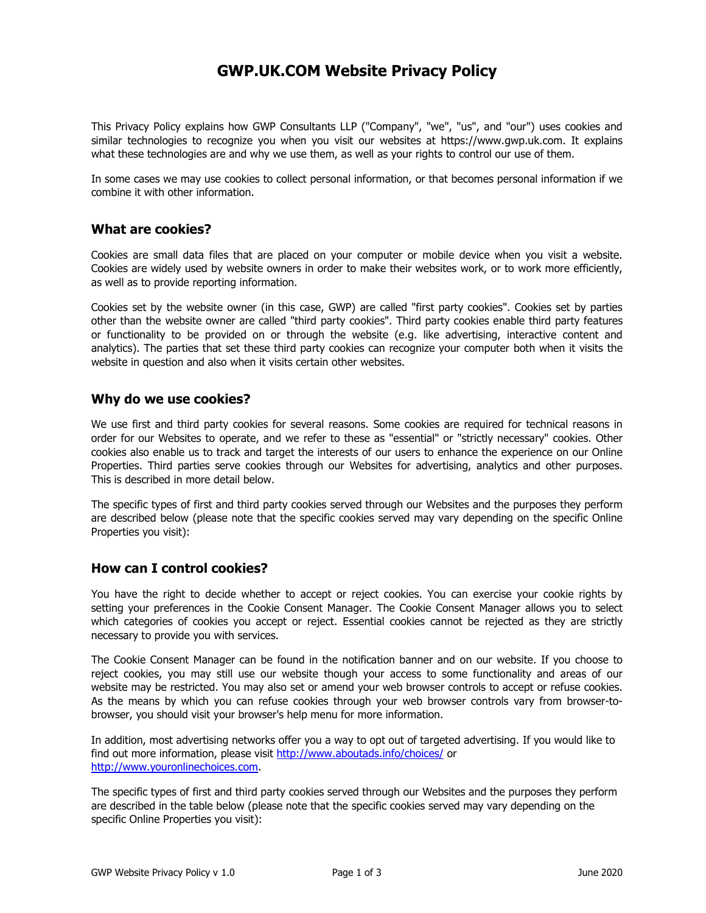# GWP.UK.COM Website Privacy Policy

This Privacy Policy explains how GWP Consultants LLP ("Company", "we", "us", and "our") uses cookies and similar technologies to recognize you when you visit our websites at https://www.gwp.uk.com. It explains what these technologies are and why we use them, as well as your rights to control our use of them.

In some cases we may use cookies to collect personal information, or that becomes personal information if we combine it with other information.

#### What are cookies?

Cookies are small data files that are placed on your computer or mobile device when you visit a website. Cookies are widely used by website owners in order to make their websites work, or to work more efficiently, as well as to provide reporting information.

Cookies set by the website owner (in this case, GWP) are called "first party cookies". Cookies set by parties other than the website owner are called "third party cookies". Third party cookies enable third party features or functionality to be provided on or through the website (e.g. like advertising, interactive content and analytics). The parties that set these third party cookies can recognize your computer both when it visits the website in question and also when it visits certain other websites.

#### Why do we use cookies?

We use first and third party cookies for several reasons. Some cookies are required for technical reasons in order for our Websites to operate, and we refer to these as "essential" or "strictly necessary" cookies. Other cookies also enable us to track and target the interests of our users to enhance the experience on our Online Properties. Third parties serve cookies through our Websites for advertising, analytics and other purposes. This is described in more detail below.

The specific types of first and third party cookies served through our Websites and the purposes they perform are described below (please note that the specific cookies served may vary depending on the specific Online Properties you visit):

## How can I control cookies?

You have the right to decide whether to accept or reject cookies. You can exercise your cookie rights by setting your preferences in the Cookie Consent Manager. The Cookie Consent Manager allows you to select which categories of cookies you accept or reject. Essential cookies cannot be rejected as they are strictly necessary to provide you with services.

The Cookie Consent Manager can be found in the notification banner and on our website. If you choose to reject cookies, you may still use our website though your access to some functionality and areas of our website may be restricted. You may also set or amend your web browser controls to accept or refuse cookies. As the means by which you can refuse cookies through your web browser controls vary from browser-tobrowser, you should visit your browser's help menu for more information.

In addition, most advertising networks offer you a way to opt out of targeted advertising. If you would like to find out more information, please visit http://www.aboutads.info/choices/ or http://www.youronlinechoices.com.

The specific types of first and third party cookies served through our Websites and the purposes they perform are described in the table below (please note that the specific cookies served may vary depending on the specific Online Properties you visit):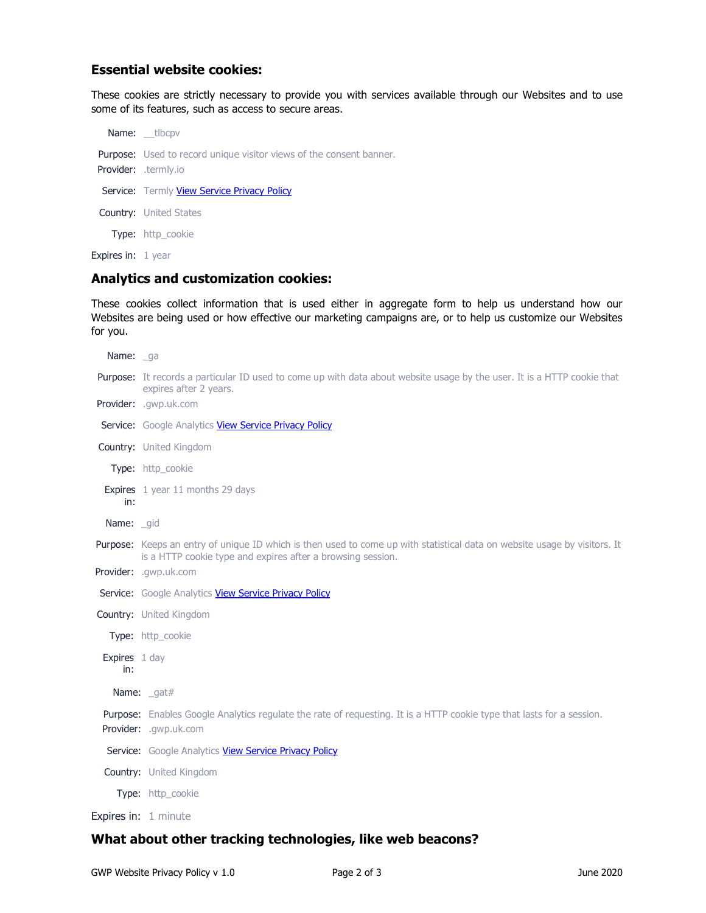## Essential website cookies:

These cookies are strictly necessary to provide you with services available through our Websites and to use some of its features, such as access to secure areas.

Name: \_\_tlbcpv Purpose: Used to record unique visitor views of the consent banner. Provider: .termly.io Service: Termly View Service Privacy Policy Country: United States Type: http\_cookie Expires in: 1 year

### Analytics and customization cookies:

These cookies collect information that is used either in aggregate form to help us understand how our Websites are being used or how effective our marketing campaigns are, or to help us customize our Websites for you.

| Name: ga             |                                                                                                                                                                                          |
|----------------------|------------------------------------------------------------------------------------------------------------------------------------------------------------------------------------------|
|                      | Purpose: It records a particular ID used to come up with data about website usage by the user. It is a HTTP cookie that<br>expires after 2 years.                                        |
|                      | Provider: .gwp.uk.com                                                                                                                                                                    |
|                      | Service: Google Analytics View Service Privacy Policy                                                                                                                                    |
|                      | <b>Country:</b> United Kingdom                                                                                                                                                           |
|                      | Type: http_cookie                                                                                                                                                                        |
| in:                  | Expires 1 year 11 months 29 days                                                                                                                                                         |
| Name: _gid           |                                                                                                                                                                                          |
|                      | Purpose: Keeps an entry of unique ID which is then used to come up with statistical data on website usage by visitors. It<br>is a HTTP cookie type and expires after a browsing session. |
|                      | Provider: .gwp.uk.com                                                                                                                                                                    |
|                      | Service: Google Analytics View Service Privacy Policy                                                                                                                                    |
|                      | Country: United Kingdom                                                                                                                                                                  |
|                      | Type: http_cookie                                                                                                                                                                        |
| Expires 1 day<br>in: |                                                                                                                                                                                          |
|                      | Name: gat#                                                                                                                                                                               |
|                      | Purpose: Enables Google Analytics regulate the rate of requesting. It is a HTTP cookie type that lasts for a session.<br>Provider: .gwp.uk.com                                           |
|                      | Service: Google Analytics View Service Privacy Policy                                                                                                                                    |
|                      | Country: United Kingdom                                                                                                                                                                  |
|                      | Type: http_cookie                                                                                                                                                                        |
|                      | Expires in: 1 minute                                                                                                                                                                     |

### What about other tracking technologies, like web beacons?